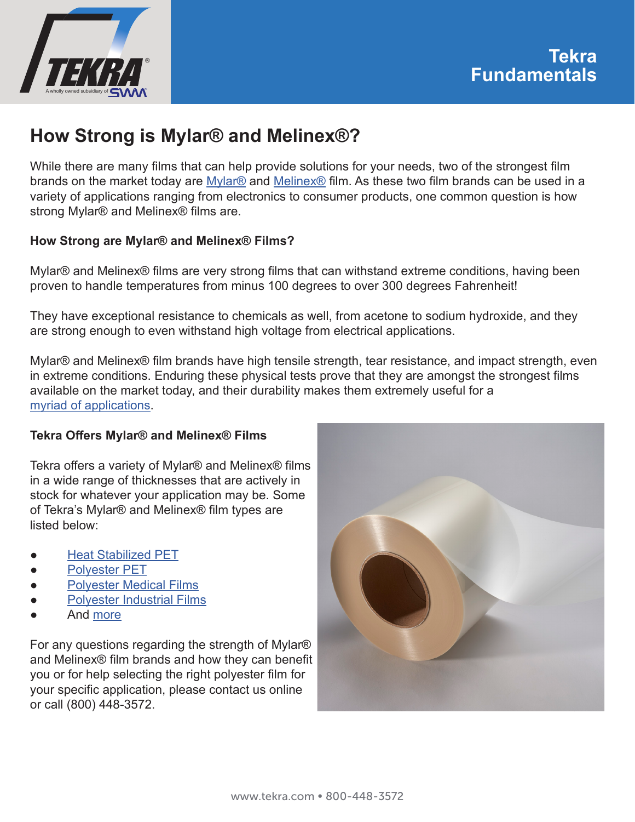

# **How Strong is Mylar® and Melinex®?**

While there are many films that can help provide solutions for your needs, two of the strongest film brands on the market today are Mylar<sup>®</sup> and Melinex<sup>®</sup> film. As these two film brands can be used in a variety of applications ranging from electronics to consumer products, one common question is how strong Mylar® and Melinex® films are.

#### **How Strong are Mylar® and Melinex® Films?**

Mylar® and Melinex® films are very strong films that can withstand extreme conditions, having been proven to handle temperatures from minus 100 degrees to over 300 degrees Fahrenheit!

They have exceptional resistance to chemicals as well, from acetone to sodium hydroxide, and they are strong enough to even withstand high voltage from electrical applications.

Mylar® and Melinex® film brands have high tensile strength, tear resistance, and impact strength, even in extreme conditions. Enduring these physical tests prove that they are amongst the strongest films available on the market today, and their durability makes them extremely useful for a [myriad of applications](https://www.tekra.com/resources/tekra-fundamentals/what-mylar-film-is-used-for).

#### **Tekra Offers Mylar® and Melinex® Films**

Tekra offers a variety of Mylar® and Melinex® films in a wide range of thicknesses that are actively in stock for whatever your application may be. Some of Tekra's Mylar® and Melinex® film types are listed below:

- [Heat Stabilized PET](https://www.tekra.com/products/films/polyester-films/heat-stabilized-pet)
- **[Polyester PET](https://www.tekra.com/products/films/polyester-films/polyester-pet)**
- **[Polyester Medical Films](https://www.tekra.com/products/films/polyester-films/polyester-medical-films)**
- **[Polyester Industrial Films](https://www.tekra.com/products/films/polyester-films/polyester-industrial-films)**
- And [more](https://www.tekra.com/products/films/polyester-films)

For any questions regarding the strength of Mylar® and Melinex® film brands and how they can benefit you or for help selecting the right polyester film for your specific application, please contact us online or call (800) 448-3572.